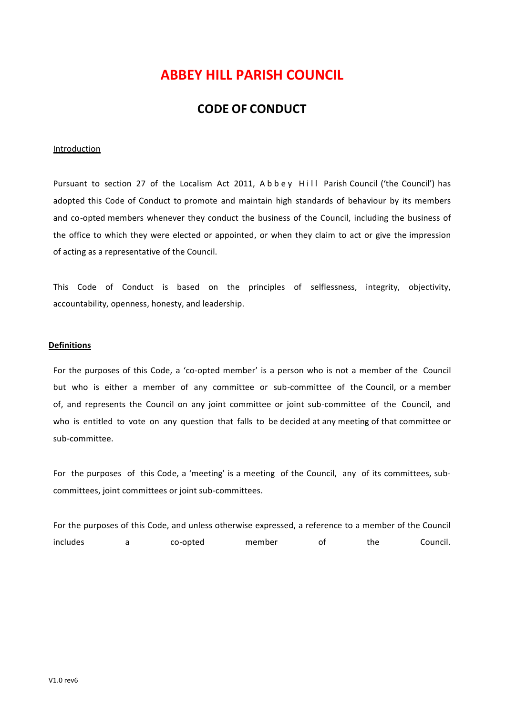# **ABBEY HILL PARISH COUNCIL**

## **CODE OF CONDUCT**

#### **Introduction**

Pursuant to section 27 of the Localism Act 2011, Abbey Hill Parish Council ('the Council') has adopted this Code of Conduct to promote and maintain high standards of behaviour by its members and co-opted members whenever they conduct the business of the Council, including the business of the office to which they were elected or appointed, or when they claim to act or give the impression of acting as a representative of the Council.

This Code of Conduct is based on the principles of selflessness, integrity, objectivity, accountability, openness, honesty, and leadership.

#### **Definitions**

For the purposes of this Code, a 'co-opted member' is a person who is not a member of the Council but who is either a member of any committee or sub-committee of the Council, or a member of, and represents the Council on any joint committee or joint sub-committee of the Council, and who is entitled to vote on any question that falls to be decided at any meeting of that committee or sub-committee.

For the purposes of this Code, a 'meeting' is a meeting of the Council, any of its committees, subcommittees, joint committees or joint sub-committees.

For the purposes of this Code, and unless otherwise expressed, a reference to a member of the Council includes a co-opted member of the Council.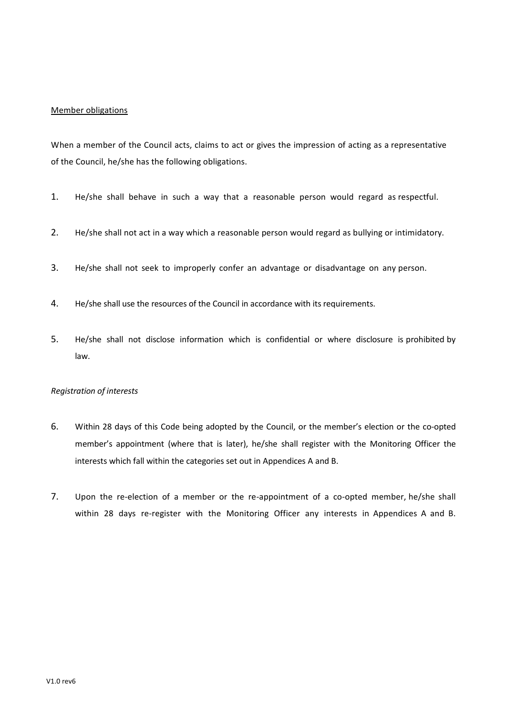### Member obligations

When a member of the Council acts, claims to act or gives the impression of acting as a representative of the Council, he/she has the following obligations.

- 1. He/she shall behave in such a way that a reasonable person would regard as respectful.
- 2. He/she shall not act in a way which a reasonable person would regard as bullying or intimidatory.
- 3. He/she shall not seek to improperly confer an advantage or disadvantage on any person.
- 4. He/she shall use the resources of the Council in accordance with its requirements.
- 5. He/she shall not disclose information which is confidential or where disclosure is prohibited by law.

### *Registration of interests*

- 6. Within 28 days of this Code being adopted by the Council, or the member's election or the co-opted member's appointment (where that is later), he/she shall register with the Monitoring Officer the interests which fall within the categories set out in Appendices A and B.
- 7. Upon the re-election of a member or the re-appointment of a co-opted member, he/she shall within 28 days re-register with the Monitoring Officer any interests in Appendices A and B.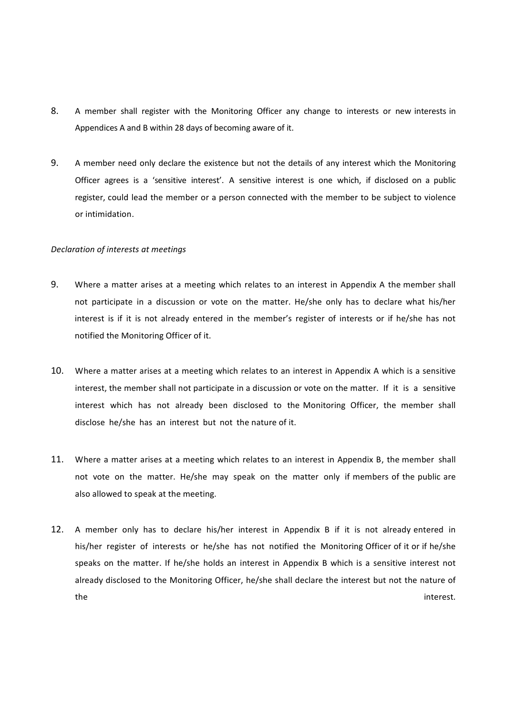- 8. A member shall register with the Monitoring Officer any change to interests or new interests in Appendices A and B within 28 days of becoming aware of it.
- 9. A member need only declare the existence but not the details of any interest which the Monitoring Officer agrees is a 'sensitive interest'. A sensitive interest is one which, if disclosed on a public register, could lead the member or a person connected with the member to be subject to violence or intimidation.

#### *Declaration of interests at meetings*

- 9. Where a matter arises at a meeting which relates to an interest in Appendix A the member shall not participate in a discussion or vote on the matter. He/she only has to declare what his/her interest is if it is not already entered in the member's register of interests or if he/she has not notified the Monitoring Officer of it.
- 10. Where a matter arises at a meeting which relates to an interest in Appendix A which is a sensitive interest, the member shall not participate in a discussion or vote on the matter. If it is a sensitive interest which has not already been disclosed to the Monitoring Officer, the member shall disclose he/she has an interest but not the nature of it.
- 11. Where a matter arises at a meeting which relates to an interest in Appendix B, the member shall not vote on the matter. He/she may speak on the matter only if members of the public are also allowed to speak at the meeting.
- 12. A member only has to declare his/her interest in Appendix B if it is not already entered in his/her register of interests or he/she has not notified the Monitoring Officer of it or if he/she speaks on the matter. If he/she holds an interest in Appendix B which is a sensitive interest not already disclosed to the Monitoring Officer, he/she shall declare the interest but not the nature of the the contract of the contract of the contract of the contract of the contract of the contract of the contract of the contract of the contract of the contract of the contract of the contract of the contract of the contra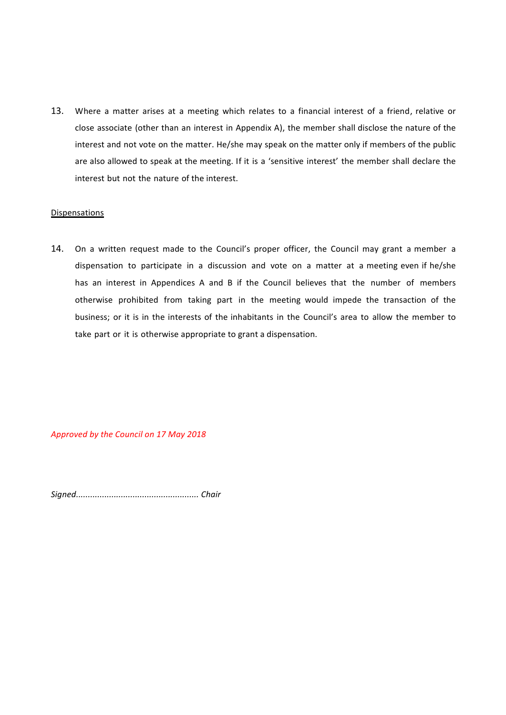13. Where a matter arises at a meeting which relates to a financial interest of a friend, relative or close associate (other than an interest in Appendix A), the member shall disclose the nature of the interest and not vote on the matter. He/she may speak on the matter only if members of the public are also allowed to speak at the meeting. If it is a 'sensitive interest' the member shall declare the interest but not the nature of the interest.

#### **Dispensations**

14. On a written request made to the Council's proper officer, the Council may grant a member a dispensation to participate in a discussion and vote on a matter at a meeting even if he/she has an interest in Appendices A and B if the Council believes that the number of members otherwise prohibited from taking part in the meeting would impede the transaction of the business; or it is in the interests of the inhabitants in the Council's area to allow the member to take part or it is otherwise appropriate to grant a dispensation.

*Approved by the Council on 17 May 2018*

*Signed.................................................... Chair*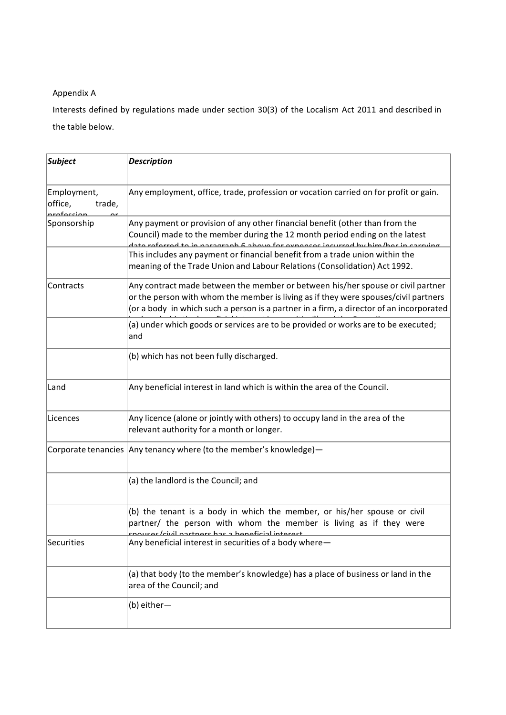### Appendix A

Interests defined by regulations made under section 30(3) of the Localism Act 2011 and described in the table below.

| <b>Subject</b>                                | <b>Description</b>                                                                                                                                                                                                                                                                                                                                                                                             |  |
|-----------------------------------------------|----------------------------------------------------------------------------------------------------------------------------------------------------------------------------------------------------------------------------------------------------------------------------------------------------------------------------------------------------------------------------------------------------------------|--|
| Employment,<br>office,<br>trade,<br>rafacciar | Any employment, office, trade, profession or vocation carried on for profit or gain.                                                                                                                                                                                                                                                                                                                           |  |
| Sponsorship                                   | Any payment or provision of any other financial benefit (other than from the<br>Council) made to the member during the 12 month period ending on the latest<br>data rafarrad ta in naragraph 6 ahovo for evnonces incurred by him/her in carrying<br>This includes any payment or financial benefit from a trade union within the<br>meaning of the Trade Union and Labour Relations (Consolidation) Act 1992. |  |
| Contracts                                     | Any contract made between the member or between his/her spouse or civil partner<br>or the person with whom the member is living as if they were spouses/civil partners<br>(or a body in which such a person is a partner in a firm, a director of an incorporated                                                                                                                                              |  |
|                                               | (a) under which goods or services are to be provided or works are to be executed;<br>and                                                                                                                                                                                                                                                                                                                       |  |
|                                               | (b) which has not been fully discharged.                                                                                                                                                                                                                                                                                                                                                                       |  |
| Land                                          | Any beneficial interest in land which is within the area of the Council.                                                                                                                                                                                                                                                                                                                                       |  |
| Licences                                      | Any licence (alone or jointly with others) to occupy land in the area of the<br>relevant authority for a month or longer.                                                                                                                                                                                                                                                                                      |  |
|                                               | Corporate tenancies Any tenancy where (to the member's knowledge)-                                                                                                                                                                                                                                                                                                                                             |  |
|                                               | (a) the landlord is the Council; and                                                                                                                                                                                                                                                                                                                                                                           |  |
|                                               | (b) the tenant is a body in which the member, or his/her spouse or civil<br>partner/ the person with whom the member is living as if they were<br>civil nartnars has a honoficial intorpe                                                                                                                                                                                                                      |  |
| Securities                                    | Any beneficial interest in securities of a body where-                                                                                                                                                                                                                                                                                                                                                         |  |
|                                               | (a) that body (to the member's knowledge) has a place of business or land in the<br>area of the Council; and                                                                                                                                                                                                                                                                                                   |  |
|                                               | (b) either-                                                                                                                                                                                                                                                                                                                                                                                                    |  |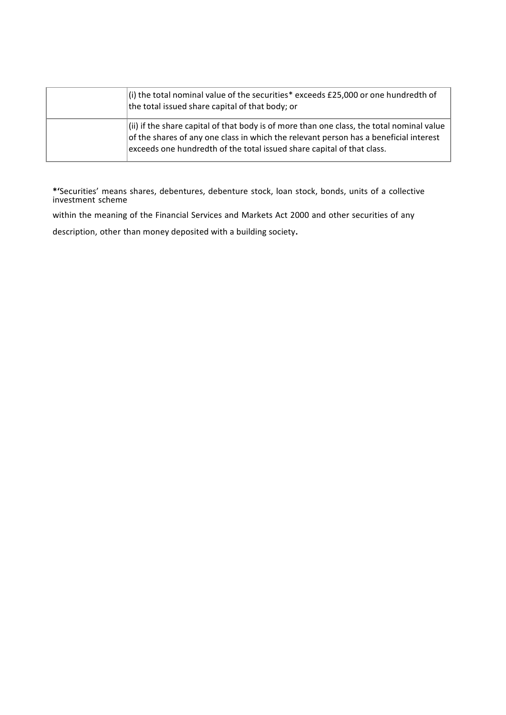| $(i)$ the total nominal value of the securities* exceeds £25,000 or one hundredth of<br>the total issued share capital of that body; or                                                                                                                       |
|---------------------------------------------------------------------------------------------------------------------------------------------------------------------------------------------------------------------------------------------------------------|
| $(i)$ if the share capital of that body is of more than one class, the total nominal value<br>of the shares of any one class in which the relevant person has a beneficial interest<br>exceeds one hundredth of the total issued share capital of that class. |

**\*'**Securities' means shares, debentures, debenture stock, loan stock, bonds, units of a collective investment scheme

within the meaning of the Financial Services and Markets Act 2000 and other securities of any

description, other than money deposited with a building society.